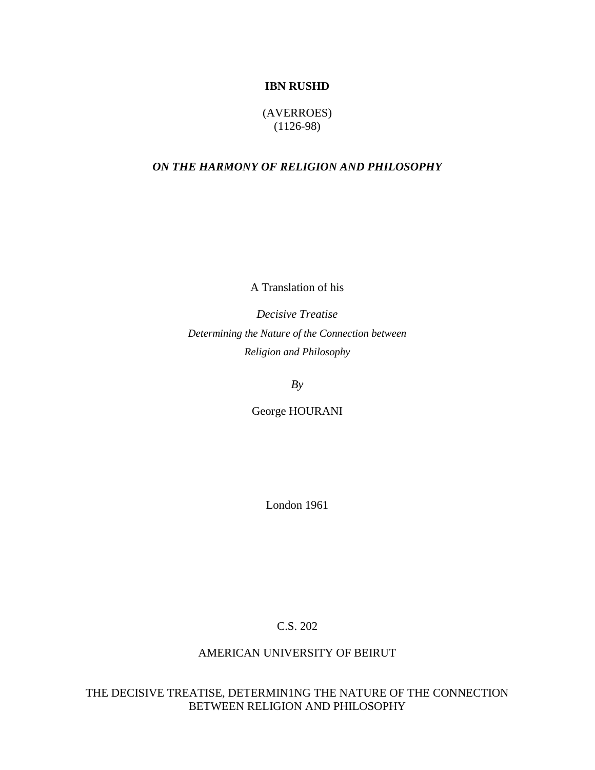# **IBN RUSHD**

#### (AVERROES) (1126-98)

# *ON THE HARMONY OF RELIGION AND PHILOSOPHY*

A Translation of his

*Decisive Treatise Determining the Nature of the Connection between Religion and Philosophy*

*By*

George HOURANI

London 1961

C.S. 202

# AMERICAN UNIVERSITY OF BEIRUT

THE DECISIVE TREATISE, DETERMIN1NG THE NATURE OF THE CONNECTION BETWEEN RELIGION AND PHILOSOPHY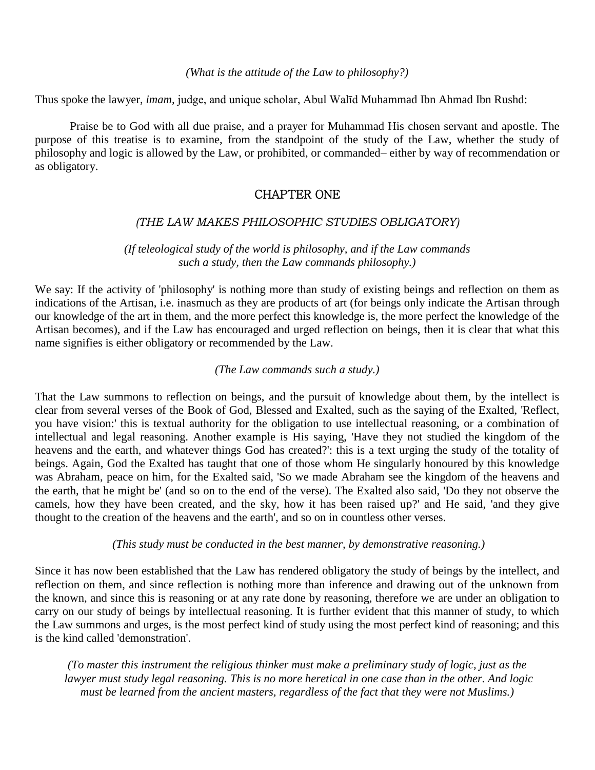#### *(What is the attitude of the Law to philosophy?)*

Thus spoke the lawyer, *imam,* judge, and unique scholar, Abul Walīd Muhammad Ibn Ahmad Ibn Rushd:

Praise be to God with all due praise, and a prayer for Muhammad His chosen servant and apostle. The purpose of this treatise is to examine, from the standpoint of the study of the Law, whether the study of philosophy and logic is allowed by the Law, or prohibited, or commanded– either by way of recommendation or as obligatory.

# CHAPTER ONE

#### *(THE LAW MAKES PHILOSOPHIC STUDIES OBLIGATORY)*

#### *(If teleological study of the world is philosophy, and if the Law commands such a study, then the Law commands philosophy.)*

We say: If the activity of 'philosophy' is nothing more than study of existing beings and reflection on them as indications of the Artisan, i.e. inasmuch as they are products of art (for beings only indicate the Artisan through our knowledge of the art in them, and the more perfect this knowledge is, the more perfect the knowledge of the Artisan becomes), and if the Law has encouraged and urged reflection on beings, then it is clear that what this name signifies is either obligatory or recommended by the Law.

#### *(The Law commands such a study.)*

That the Law summons to reflection on beings, and the pursuit of knowledge about them, by the intellect is clear from several verses of the Book of God, Blessed and Exalted, such as the saying of the Exalted, 'Reflect, you have vision:' this is textual authority for the obligation to use intellectual reasoning, or a combination of intellectual and legal reasoning. Another example is His saying, 'Have they not studied the kingdom of the heavens and the earth, and whatever things God has created?': this is a text urging the study of the totality of beings. Again, God the Exalted has taught that one of those whom He singularly honoured by this knowledge was Abraham, peace on him, for the Exalted said, 'So we made Abraham see the kingdom of the heavens and the earth, that he might be' (and so on to the end of the verse). The Exalted also said, 'Do they not observe the camels, how they have been created, and the sky, how it has been raised up?' and He said, 'and they give thought to the creation of the heavens and the earth', and so on in countless other verses.

*(This study must be conducted in the best manner, by demonstrative reasoning.)*

Since it has now been established that the Law has rendered obligatory the study of beings by the intellect, and reflection on them, and since reflection is nothing more than inference and drawing out of the unknown from the known, and since this is reasoning or at any rate done by reasoning, therefore we are under an obligation to carry on our study of beings by intellectual reasoning. It is further evident that this manner of study, to which the Law summons and urges, is the most perfect kind of study using the most perfect kind of reasoning; and this is the kind called 'demonstration'.

*(To master this instrument the religious thinker must make a preliminary study of logic, just as the lawyer must study legal reasoning. This is no more heretical in one case than in the other. And logic must be learned from the ancient masters, regardless of the fact that they were not Muslims.)*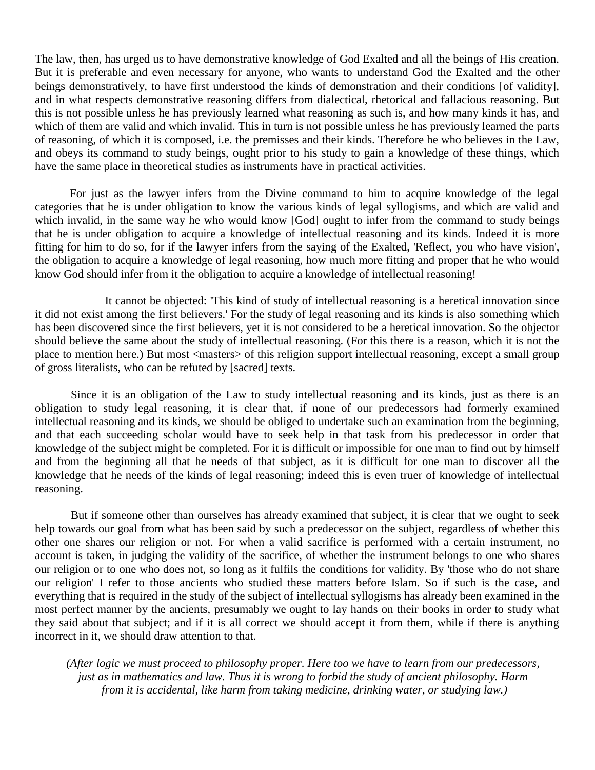The law, then, has urged us to have demonstrative knowledge of God Exalted and all the beings of His creation. But it is preferable and even necessary for anyone, who wants to understand God the Exalted and the other beings demonstratively, to have first understood the kinds of demonstration and their conditions [of validity], and in what respects demonstrative reasoning differs from dialectical, rhetorical and fallacious reasoning. But this is not possible unless he has previously learned what reasoning as such is, and how many kinds it has, and which of them are valid and which invalid. This in turn is not possible unless he has previously learned the parts of reasoning, of which it is composed, i.e. the premisses and their kinds. Therefore he who believes in the Law, and obeys its command to study beings, ought prior to his study to gain a knowledge of these things, which have the same place in theoretical studies as instruments have in practical activities.

For just as the lawyer infers from the Divine command to him to acquire knowledge of the legal categories that he is under obligation to know the various kinds of legal syllogisms, and which are valid and which invalid, in the same way he who would know [God] ought to infer from the command to study beings that he is under obligation to acquire a knowledge of intellectual reasoning and its kinds. Indeed it is more fitting for him to do so, for if the lawyer infers from the saying of the Exalted, 'Reflect, you who have vision', the obligation to acquire a knowledge of legal reasoning, how much more fitting and proper that he who would know God should infer from it the obligation to acquire a knowledge of intellectual reasoning!

It cannot be objected: 'This kind of study of intellectual reasoning is a heretical innovation since it did not exist among the first believers.' For the study of legal reasoning and its kinds is also something which has been discovered since the first believers, yet it is not considered to be a heretical innovation. So the objector should believe the same about the study of intellectual reasoning. (For this there is a reason, which it is not the place to mention here.) But most <masters> of this religion support intellectual reasoning, except a small group of gross literalists, who can be refuted by [sacred] texts.

Since it is an obligation of the Law to study intellectual reasoning and its kinds, just as there is an obligation to study legal reasoning, it is clear that, if none of our predecessors had formerly examined intellectual reasoning and its kinds, we should be obliged to undertake such an examination from the beginning, and that each succeeding scholar would have to seek help in that task from his predecessor in order that knowledge of the subject might be completed. For it is difficult or impossible for one man to find out by himself and from the beginning all that he needs of that subject, as it is difficult for one man to discover all the knowledge that he needs of the kinds of legal reasoning; indeed this is even truer of knowledge of intellectual reasoning.

But if someone other than ourselves has already examined that subject, it is clear that we ought to seek help towards our goal from what has been said by such a predecessor on the subject, regardless of whether this other one shares our religion or not. For when a valid sacrifice is performed with a certain instrument, no account is taken, in judging the validity of the sacrifice, of whether the instrument belongs to one who shares our religion or to one who does not, so long as it fulfils the conditions for validity. By 'those who do not share our religion' I refer to those ancients who studied these matters before Islam. So if such is the case, and everything that is required in the study of the subject of intellectual syllogisms has already been examined in the most perfect manner by the ancients, presumably we ought to lay hands on their books in order to study what they said about that subject; and if it is all correct we should accept it from them, while if there is anything incorrect in it, we should draw attention to that.

*(After logic we must proceed to philosophy proper. Here too we have to learn from our predecessors, just as in mathematics and law. Thus it is wrong to forbid the study of ancient philosophy. Harm from it is accidental, like harm from taking medicine, drinking water, or studying law.)*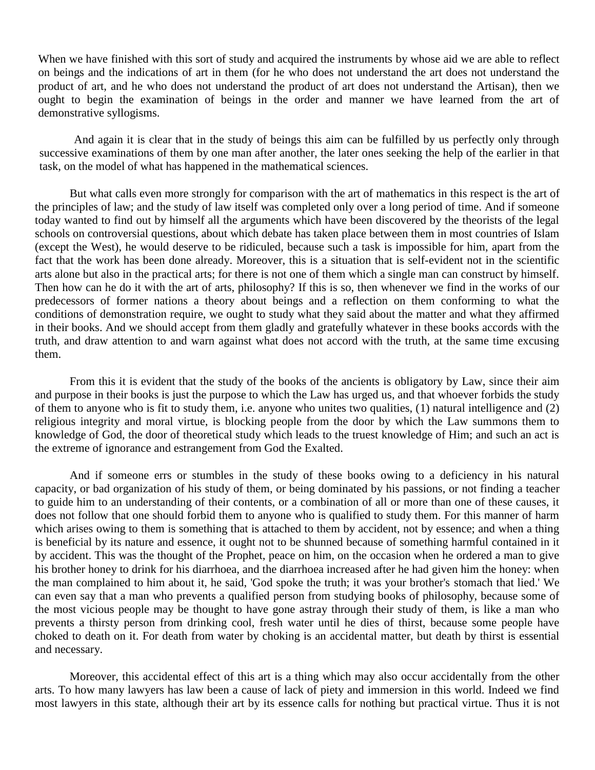When we have finished with this sort of study and acquired the instruments by whose aid we are able to reflect on beings and the indications of art in them (for he who does not understand the art does not understand the product of art, and he who does not understand the product of art does not understand the Artisan), then we ought to begin the examination of beings in the order and manner we have learned from the art of demonstrative syllogisms.

And again it is clear that in the study of beings this aim can be fulfilled by us perfectly only through successive examinations of them by one man after another, the later ones seeking the help of the earlier in that task, on the model of what has happened in the mathematical sciences.

But what calls even more strongly for comparison with the art of mathematics in this respect is the art of the principles of law; and the study of law itself was completed only over a long period of time. And if someone today wanted to find out by himself all the arguments which have been discovered by the theorists of the legal schools on controversial questions, about which debate has taken place between them in most countries of Islam (except the West), he would deserve to be ridiculed, because such a task is impossible for him, apart from the fact that the work has been done already. Moreover, this is a situation that is self-evident not in the scientific arts alone but also in the practical arts; for there is not one of them which a single man can construct by himself. Then how can he do it with the art of arts, philosophy? If this is so, then whenever we find in the works of our predecessors of former nations a theory about beings and a reflection on them conforming to what the conditions of demonstration require, we ought to study what they said about the matter and what they affirmed in their books. And we should accept from them gladly and gratefully whatever in these books accords with the truth, and draw attention to and warn against what does not accord with the truth, at the same time excusing them.

From this it is evident that the study of the books of the ancients is obligatory by Law, since their aim and purpose in their books is just the purpose to which the Law has urged us, and that whoever forbids the study of them to anyone who is fit to study them, i.e. anyone who unites two qualities, (1) natural intelligence and (2) religious integrity and moral virtue, is blocking people from the door by which the Law summons them to knowledge of God, the door of theoretical study which leads to the truest knowledge of Him; and such an act is the extreme of ignorance and estrangement from God the Exalted.

And if someone errs or stumbles in the study of these books owing to a deficiency in his natural capacity, or bad organization of his study of them, or being dominated by his passions, or not finding a teacher to guide him to an understanding of their contents, or a combination of all or more than one of these causes, it does not follow that one should forbid them to anyone who is qualified to study them. For this manner of harm which arises owing to them is something that is attached to them by accident, not by essence; and when a thing is beneficial by its nature and essence, it ought not to be shunned because of something harmful contained in it by accident. This was the thought of the Prophet, peace on him, on the occasion when he ordered a man to give his brother honey to drink for his diarrhoea, and the diarrhoea increased after he had given him the honey: when the man complained to him about it, he said, 'God spoke the truth; it was your brother's stomach that lied.' We can even say that a man who prevents a qualified person from studying books of philosophy, because some of the most vicious people may be thought to have gone astray through their study of them, is like a man who prevents a thirsty person from drinking cool, fresh water until he dies of thirst, because some people have choked to death on it. For death from water by choking is an accidental matter, but death by thirst is essential and necessary.

Moreover, this accidental effect of this art is a thing which may also occur accidentally from the other arts. To how many lawyers has law been a cause of lack of piety and immersion in this world. Indeed we find most lawyers in this state, although their art by its essence calls for nothing but practical virtue. Thus it is not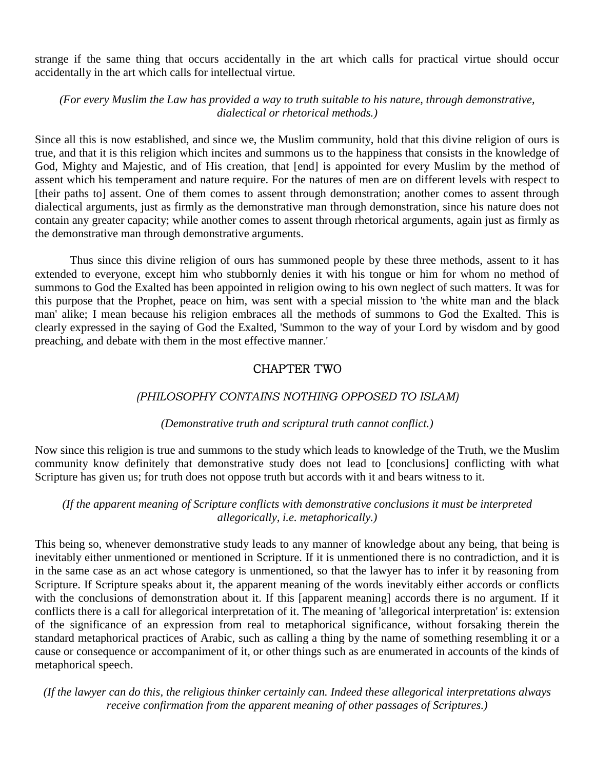strange if the same thing that occurs accidentally in the art which calls for practical virtue should occur accidentally in the art which calls for intellectual virtue.

# *(For every Muslim the Law has provided a way to truth suitable to his nature, through demonstrative, dialectical or rhetorical methods.)*

Since all this is now established, and since we, the Muslim community, hold that this divine religion of ours is true, and that it is this religion which incites and summons us to the happiness that consists in the knowledge of God, Mighty and Majestic, and of His creation, that [end] is appointed for every Muslim by the method of assent which his temperament and nature require. For the natures of men are on different levels with respect to [their paths to] assent. One of them comes to assent through demonstration; another comes to assent through dialectical arguments, just as firmly as the demonstrative man through demonstration, since his nature does not contain any greater capacity; while another comes to assent through rhetorical arguments, again just as firmly as the demonstrative man through demonstrative arguments.

Thus since this divine religion of ours has summoned people by these three methods, assent to it has extended to everyone, except him who stubbornly denies it with his tongue or him for whom no method of summons to God the Exalted has been appointed in religion owing to his own neglect of such matters. It was for this purpose that the Prophet, peace on him, was sent with a special mission to 'the white man and the black man' alike; I mean because his religion embraces all the methods of summons to God the Exalted. This is clearly expressed in the saying of God the Exalted, 'Summon to the way of your Lord by wisdom and by good preaching, and debate with them in the most effective manner.'

# CHAPTER TWO

# *(PHILOSOPHY CONTAINS NOTHING OPPOSED TO ISLAM)*

#### *(Demonstrative truth and scriptural truth cannot conflict.)*

Now since this religion is true and summons to the study which leads to knowledge of the Truth, we the Muslim community know definitely that demonstrative study does not lead to [conclusions] conflicting with what Scripture has given us; for truth does not oppose truth but accords with it and bears witness to it.

#### *(If the apparent meaning of Scripture conflicts with demonstrative conclusions it must be interpreted allegorically, i.e. metaphorically.)*

This being so, whenever demonstrative study leads to any manner of knowledge about any being, that being is inevitably either unmentioned or mentioned in Scripture. If it is unmentioned there is no contradiction, and it is in the same case as an act whose category is unmentioned, so that the lawyer has to infer it by reasoning from Scripture. If Scripture speaks about it, the apparent meaning of the words inevitably either accords or conflicts with the conclusions of demonstration about it. If this [apparent meaning] accords there is no argument. If it conflicts there is a call for allegorical interpretation of it. The meaning of 'allegorical interpretation' is: extension of the significance of an expression from real to metaphorical significance, without forsaking therein the standard metaphorical practices of Arabic, such as calling a thing by the name of something resembling it or a cause or consequence or accompaniment of it, or other things such as are enumerated in accounts of the kinds of metaphorical speech.

*(If the lawyer can do this, the religious thinker certainly can. Indeed these allegorical interpretations always receive confirmation from the apparent meaning of other passages of Scriptures.)*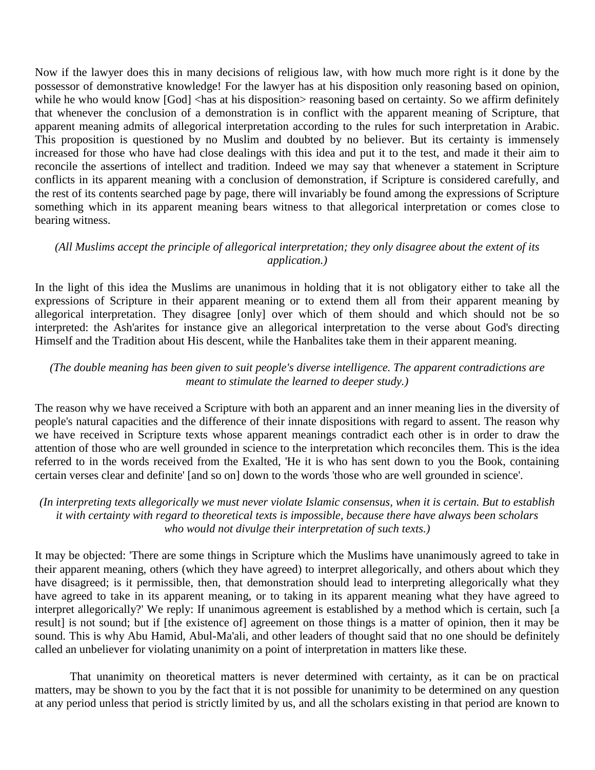Now if the lawyer does this in many decisions of religious law, with how much more right is it done by the possessor of demonstrative knowledge! For the lawyer has at his disposition only reasoning based on opinion, while he who would know [God] <has at his disposition> reasoning based on certainty. So we affirm definitely that whenever the conclusion of a demonstration is in conflict with the apparent meaning of Scripture, that apparent meaning admits of allegorical interpretation according to the rules for such interpretation in Arabic. This proposition is questioned by no Muslim and doubted by no believer. But its certainty is immensely increased for those who have had close dealings with this idea and put it to the test, and made it their aim to reconcile the assertions of intellect and tradition. Indeed we may say that whenever a statement in Scripture conflicts in its apparent meaning with a conclusion of demonstration, if Scripture is considered carefully, and the rest of its contents searched page by page, there will invariably be found among the expressions of Scripture something which in its apparent meaning bears witness to that allegorical interpretation or comes close to bearing witness.

# *(All Muslims accept the principle of allegorical interpretation; they only disagree about the extent of its application.)*

In the light of this idea the Muslims are unanimous in holding that it is not obligatory either to take all the expressions of Scripture in their apparent meaning or to extend them all from their apparent meaning by allegorical interpretation. They disagree [only] over which of them should and which should not be so interpreted: the Ash'arites for instance give an allegorical interpretation to the verse about God's directing Himself and the Tradition about His descent, while the Hanbalites take them in their apparent meaning.

# *(The double meaning has been given to suit people's diverse intelligence. The apparent contradictions are meant to stimulate the learned to deeper study.)*

The reason why we have received a Scripture with both an apparent and an inner meaning lies in the diversity of people's natural capacities and the difference of their innate dispositions with regard to assent. The reason why we have received in Scripture texts whose apparent meanings contradict each other is in order to draw the attention of those who are well grounded in science to the interpretation which reconciles them. This is the idea referred to in the words received from the Exalted, 'He it is who has sent down to you the Book, containing certain verses clear and definite' [and so on] down to the words 'those who are well grounded in science'.

#### *(In interpreting texts allegorically we must never violate Islamic consensus, when it is certain. But to establish it with certainty with regard to theoretical texts is impossible, because there have always been scholars who would not divulge their interpretation of such texts.)*

It may be objected: 'There are some things in Scripture which the Muslims have unanimously agreed to take in their apparent meaning, others (which they have agreed) to interpret allegorically, and others about which they have disagreed; is it permissible, then, that demonstration should lead to interpreting allegorically what they have agreed to take in its apparent meaning, or to taking in its apparent meaning what they have agreed to interpret allegorically?' We reply: If unanimous agreement is established by a method which is certain, such [a result] is not sound; but if [the existence of] agreement on those things is a matter of opinion, then it may be sound. This is why Abu Hamid, Abul-Ma'ali, and other leaders of thought said that no one should be definitely called an unbeliever for violating unanimity on a point of interpretation in matters like these.

That unanimity on theoretical matters is never determined with certainty, as it can be on practical matters, may be shown to you by the fact that it is not possible for unanimity to be determined on any question at any period unless that period is strictly limited by us, and all the scholars existing in that period are known to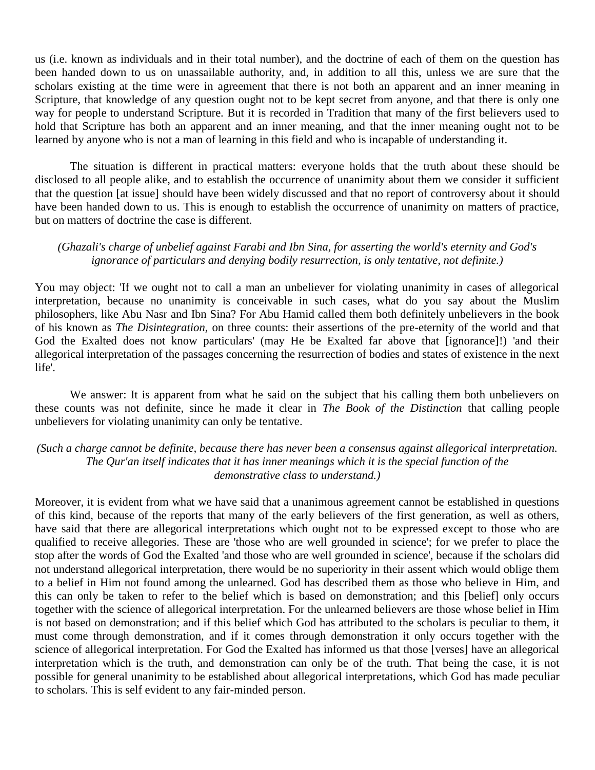us (i.e. known as individuals and in their total number), and the doctrine of each of them on the question has been handed down to us on unassailable authority, and, in addition to all this, unless we are sure that the scholars existing at the time were in agreement that there is not both an apparent and an inner meaning in Scripture, that knowledge of any question ought not to be kept secret from anyone, and that there is only one way for people to understand Scripture. But it is recorded in Tradition that many of the first believers used to hold that Scripture has both an apparent and an inner meaning, and that the inner meaning ought not to be learned by anyone who is not a man of learning in this field and who is incapable of understanding it.

The situation is different in practical matters: everyone holds that the truth about these should be disclosed to all people alike, and to establish the occurrence of unanimity about them we consider it sufficient that the question [at issue] should have been widely discussed and that no report of controversy about it should have been handed down to us. This is enough to establish the occurrence of unanimity on matters of practice, but on matters of doctrine the case is different.

#### *(Ghazali's charge of unbelief against Farabi and Ibn Sina, for asserting the world's eternity and God's ignorance of particulars and denying bodily resurrection, is only tentative, not definite.)*

You may object: 'If we ought not to call a man an unbeliever for violating unanimity in cases of allegorical interpretation, because no unanimity is conceivable in such cases, what do you say about the Muslim philosophers, like Abu Nasr and Ibn Sina? For Abu Hamid called them both definitely unbelievers in the book of his known as *The Disintegration,* on three counts: their assertions of the pre-eternity of the world and that God the Exalted does not know particulars' (may He be Exalted far above that [ignorance]!) 'and their allegorical interpretation of the passages concerning the resurrection of bodies and states of existence in the next life'.

We answer: It is apparent from what he said on the subject that his calling them both unbelievers on these counts was not definite, since he made it clear in *The Book of the Distinction* that calling people unbelievers for violating unanimity can only be tentative.

#### *(Such a charge cannot be definite, because there has never been a consensus against allegorical interpretation. The Qur'an itself indicates that it has inner meanings which it is the special function of the demonstrative class to understand.)*

Moreover, it is evident from what we have said that a unanimous agreement cannot be established in questions of this kind, because of the reports that many of the early believers of the first generation, as well as others, have said that there are allegorical interpretations which ought not to be expressed except to those who are qualified to receive allegories. These are 'those who are well grounded in science'; for we prefer to place the stop after the words of God the Exalted 'and those who are well grounded in science', because if the scholars did not understand allegorical interpretation, there would be no superiority in their assent which would oblige them to a belief in Him not found among the unlearned. God has described them as those who believe in Him, and this can only be taken to refer to the belief which is based on demonstration; and this [belief] only occurs together with the science of allegorical interpretation. For the unlearned believers are those whose belief in Him is not based on demonstration; and if this belief which God has attributed to the scholars is peculiar to them, it must come through demonstration, and if it comes through demonstration it only occurs together with the science of allegorical interpretation. For God the Exalted has informed us that those [verses] have an allegorical interpretation which is the truth, and demonstration can only be of the truth. That being the case, it is not possible for general unanimity to be established about allegorical interpretations, which God has made peculiar to scholars. This is self evident to any fair-minded person.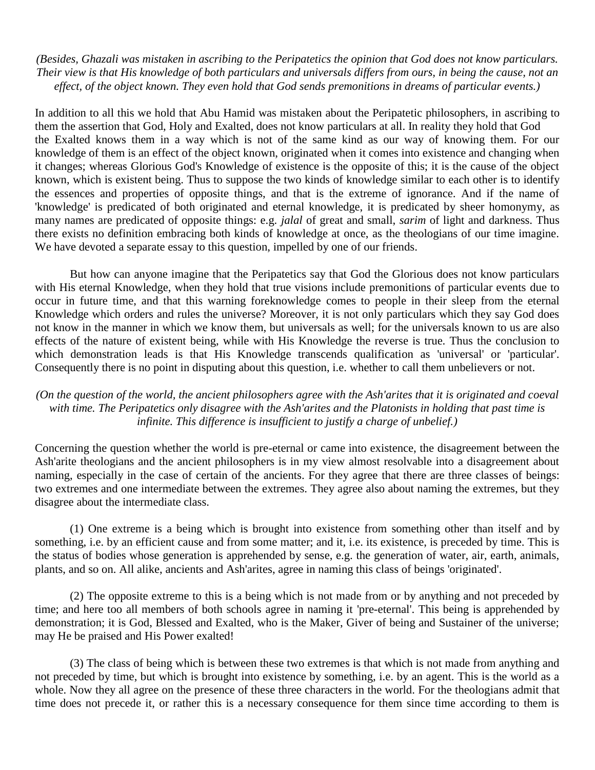*(Besides, Ghazali was mistaken in ascribing to the Peripatetics the opinion that God does not know particulars. Their view is that His knowledge of both particulars and universals differs from ours, in being the cause, not an effect, of the object known. They even hold that God sends premonitions in dreams of particular events.)*

In addition to all this we hold that Abu Hamid was mistaken about the Peripatetic philosophers, in ascribing to them the assertion that God, Holy and Exalted, does not know particulars at all. In reality they hold that God the Exalted knows them in a way which is not of the same kind as our way of knowing them. For our knowledge of them is an effect of the object known, originated when it comes into existence and changing when it changes; whereas Glorious God's Knowledge of existence is the opposite of this; it is the cause of the object known, which is existent being. Thus to suppose the two kinds of knowledge similar to each other is to identify the essences and properties of opposite things, and that is the extreme of ignorance. And if the name of 'knowledge' is predicated of both originated and eternal knowledge, it is predicated by sheer homonymy, as many names are predicated of opposite things: e.g. *jalal* of great and small, *sarim* of light and darkness. Thus there exists no definition embracing both kinds of knowledge at once, as the theologians of our time imagine. We have devoted a separate essay to this question, impelled by one of our friends.

But how can anyone imagine that the Peripatetics say that God the Glorious does not know particulars with His eternal Knowledge, when they hold that true visions include premonitions of particular events due to occur in future time, and that this warning foreknowledge comes to people in their sleep from the eternal Knowledge which orders and rules the universe? Moreover, it is not only particulars which they say God does not know in the manner in which we know them, but universals as well; for the universals known to us are also effects of the nature of existent being, while with His Knowledge the reverse is true. Thus the conclusion to which demonstration leads is that His Knowledge transcends qualification as 'universal' or 'particular'. Consequently there is no point in disputing about this question, i.e. whether to call them unbelievers or not.

*(On the question of the world, the ancient philosophers agree with the Ash'arites that it is originated and coeval with time. The Peripatetics only disagree with the Ash'arites and the Platonists in holding that past time is infinite. This difference is insufficient to justify a charge of unbelief.)*

Concerning the question whether the world is pre-eternal or came into existence, the disagreement between the Ash'arite theologians and the ancient philosophers is in my view almost resolvable into a disagreement about naming, especially in the case of certain of the ancients. For they agree that there are three classes of beings: two extremes and one intermediate between the extremes. They agree also about naming the extremes, but they disagree about the intermediate class.

(1) One extreme is a being which is brought into existence from something other than itself and by something, i.e. by an efficient cause and from some matter; and it, i.e. its existence, is preceded by time. This is the status of bodies whose generation is apprehended by sense, e.g. the generation of water, air, earth, animals, plants, and so on. All alike, ancients and Ash'arites, agree in naming this class of beings 'originated'.

(2) The opposite extreme to this is a being which is not made from or by anything and not preceded by time; and here too all members of both schools agree in naming it 'pre-eternal'. This being is apprehended by demonstration; it is God, Blessed and Exalted, who is the Maker, Giver of being and Sustainer of the universe; may He be praised and His Power exalted!

(3) The class of being which is between these two extremes is that which is not made from anything and not preceded by time, but which is brought into existence by something, i.e. by an agent. This is the world as a whole. Now they all agree on the presence of these three characters in the world. For the theologians admit that time does not precede it, or rather this is a necessary consequence for them since time according to them is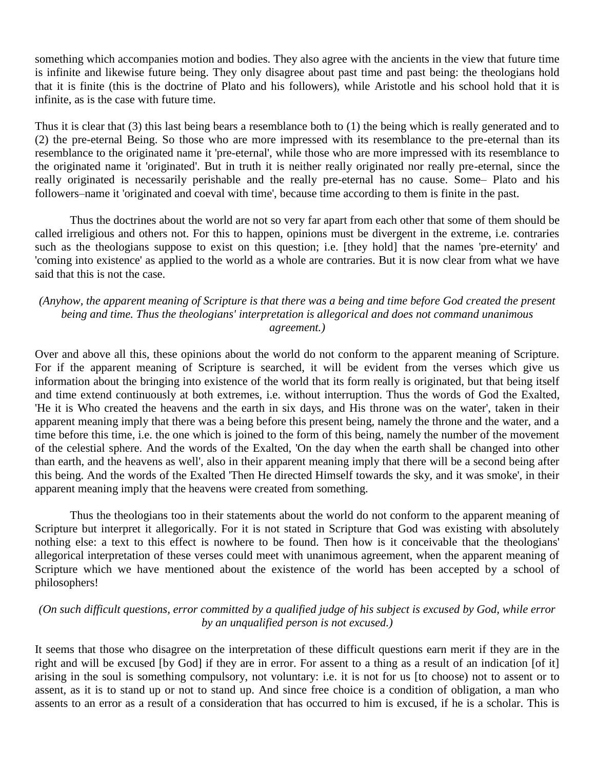something which accompanies motion and bodies. They also agree with the ancients in the view that future time is infinite and likewise future being. They only disagree about past time and past being: the theologians hold that it is finite (this is the doctrine of Plato and his followers), while Aristotle and his school hold that it is infinite, as is the case with future time.

Thus it is clear that (3) this last being bears a resemblance both to (1) the being which is really generated and to (2) the pre-eternal Being. So those who are more impressed with its resemblance to the pre-eternal than its resemblance to the originated name it 'pre-eternal', while those who are more impressed with its resemblance to the originated name it 'originated'. But in truth it is neither really originated nor really pre-eternal, since the really originated is necessarily perishable and the really pre-eternal has no cause. Some– Plato and his followers–name it 'originated and coeval with time', because time according to them is finite in the past.

Thus the doctrines about the world are not so very far apart from each other that some of them should be called irreligious and others not. For this to happen, opinions must be divergent in the extreme, i.e. contraries such as the theologians suppose to exist on this question; i.e. [they hold] that the names 'pre-eternity' and 'coming into existence' as applied to the world as a whole are contraries. But it is now clear from what we have said that this is not the case.

#### *(Anyhow, the apparent meaning of Scripture is that there was a being and time before God created the present being and time. Thus the theologians' interpretation is allegorical and does not command unanimous agreement.)*

Over and above all this, these opinions about the world do not conform to the apparent meaning of Scripture. For if the apparent meaning of Scripture is searched, it will be evident from the verses which give us information about the bringing into existence of the world that its form really is originated, but that being itself and time extend continuously at both extremes, i.e. without interruption. Thus the words of God the Exalted, 'He it is Who created the heavens and the earth in six days, and His throne was on the water', taken in their apparent meaning imply that there was a being before this present being, namely the throne and the water, and a time before this time, i.e. the one which is joined to the form of this being, namely the number of the movement of the celestial sphere. And the words of the Exalted, 'On the day when the earth shall be changed into other than earth, and the heavens as well', also in their apparent meaning imply that there will be a second being after this being. And the words of the Exalted 'Then He directed Himself towards the sky, and it was smoke', in their apparent meaning imply that the heavens were created from something.

Thus the theologians too in their statements about the world do not conform to the apparent meaning of Scripture but interpret it allegorically. For it is not stated in Scripture that God was existing with absolutely nothing else: a text to this effect is nowhere to be found. Then how is it conceivable that the theologians' allegorical interpretation of these verses could meet with unanimous agreement, when the apparent meaning of Scripture which we have mentioned about the existence of the world has been accepted by a school of philosophers!

#### *(On such difficult questions, error committed by a qualified judge of his subject is excused by God, while error by an unqualified person is not excused.)*

It seems that those who disagree on the interpretation of these difficult questions earn merit if they are in the right and will be excused [by God] if they are in error. For assent to a thing as a result of an indication [of it] arising in the soul is something compulsory, not voluntary: i.e. it is not for us [to choose) not to assent or to assent, as it is to stand up or not to stand up. And since free choice is a condition of obligation, a man who assents to an error as a result of a consideration that has occurred to him is excused, if he is a scholar. This is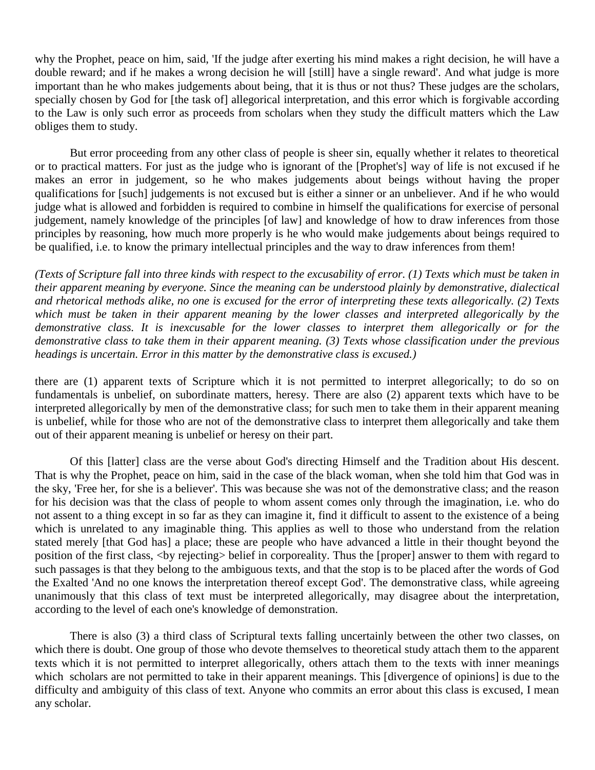why the Prophet, peace on him, said, 'If the judge after exerting his mind makes a right decision, he will have a double reward; and if he makes a wrong decision he will [still] have a single reward'. And what judge is more important than he who makes judgements about being, that it is thus or not thus? These judges are the scholars, specially chosen by God for [the task of] allegorical interpretation, and this error which is forgivable according to the Law is only such error as proceeds from scholars when they study the difficult matters which the Law obliges them to study.

But error proceeding from any other class of people is sheer sin, equally whether it relates to theoretical or to practical matters. For just as the judge who is ignorant of the [Prophet's] way of life is not excused if he makes an error in judgement, so he who makes judgements about beings without having the proper qualifications for [such] judgements is not excused but is either a sinner or an unbeliever. And if he who would judge what is allowed and forbidden is required to combine in himself the qualifications for exercise of personal judgement, namely knowledge of the principles [of law] and knowledge of how to draw inferences from those principles by reasoning, how much more properly is he who would make judgements about beings required to be qualified, i.e. to know the primary intellectual principles and the way to draw inferences from them!

*(Texts of Scripture fall into three kinds with respect to the excusability of error. (1) Texts which must be taken in their apparent meaning by everyone. Since the meaning can be understood plainly by demonstrative, dialectical and rhetorical methods alike, no one is excused for the error of interpreting these texts allegorically. (2) Texts which must be taken in their apparent meaning by the lower classes and interpreted allegorically by the demonstrative class. It is inexcusable for the lower classes to interpret them allegorically or for the demonstrative class to take them in their apparent meaning. (3) Texts whose classification under the previous headings is uncertain. Error in this matter by the demonstrative class is excused.)*

there are (1) apparent texts of Scripture which it is not permitted to interpret allegorically; to do so on fundamentals is unbelief, on subordinate matters, heresy. There are also (2) apparent texts which have to be interpreted allegorically by men of the demonstrative class; for such men to take them in their apparent meaning is unbelief, while for those who are not of the demonstrative class to interpret them allegorically and take them out of their apparent meaning is unbelief or heresy on their part.

Of this [latter] class are the verse about God's directing Himself and the Tradition about His descent. That is why the Prophet, peace on him, said in the case of the black woman, when she told him that God was in the sky, 'Free her, for she is a believer'. This was because she was not of the demonstrative class; and the reason for his decision was that the class of people to whom assent comes only through the imagination, i.e. who do not assent to a thing except in so far as they can imagine it, find it difficult to assent to the existence of a being which is unrelated to any imaginable thing. This applies as well to those who understand from the relation stated merely [that God has] a place; these are people who have advanced a little in their thought beyond the position of the first class, <by rejecting> belief in corporeality. Thus the [proper] answer to them with regard to such passages is that they belong to the ambiguous texts, and that the stop is to be placed after the words of God the Exalted 'And no one knows the interpretation thereof except God'. The demonstrative class, while agreeing unanimously that this class of text must be interpreted allegorically, may disagree about the interpretation, according to the level of each one's knowledge of demonstration.

There is also (3) a third class of Scriptural texts falling uncertainly between the other two classes, on which there is doubt. One group of those who devote themselves to theoretical study attach them to the apparent texts which it is not permitted to interpret allegorically, others attach them to the texts with inner meanings which scholars are not permitted to take in their apparent meanings. This [divergence of opinions] is due to the difficulty and ambiguity of this class of text. Anyone who commits an error about this class is excused, I mean any scholar.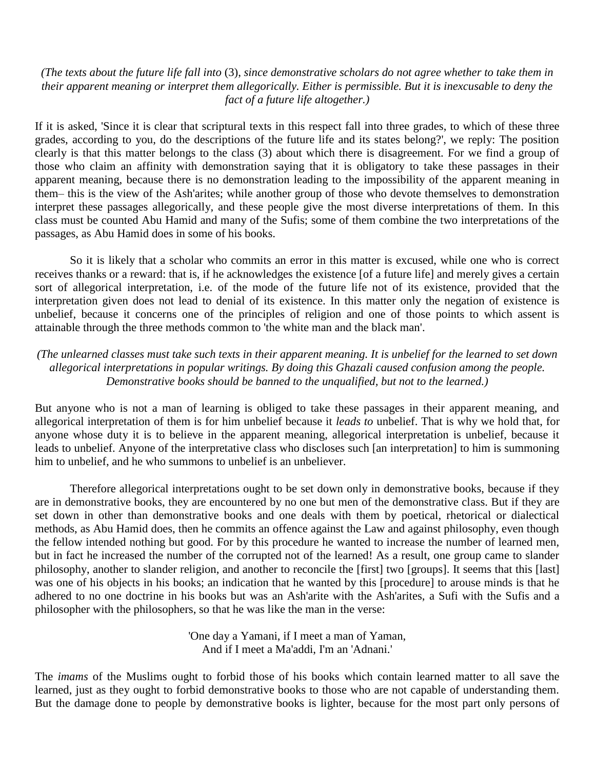## *(The texts about the future life fall into* (3), *since demonstrative scholars do not agree whether to take them in their apparent meaning or interpret them allegorically. Either is permissible. But it is inexcusable to deny the fact of a future life altogether.)*

If it is asked, 'Since it is clear that scriptural texts in this respect fall into three grades, to which of these three grades, according to you, do the descriptions of the future life and its states belong?', we reply: The position clearly is that this matter belongs to the class (3) about which there is disagreement. For we find a group of those who claim an affinity with demonstration saying that it is obligatory to take these passages in their apparent meaning, because there is no demonstration leading to the impossibility of the apparent meaning in them– this is the view of the Ash'arites; while another group of those who devote themselves to demonstration interpret these passages allegorically, and these people give the most diverse interpretations of them. In this class must be counted Abu Hamid and many of the Sufis; some of them combine the two interpretations of the passages, as Abu Hamid does in some of his books.

So it is likely that a scholar who commits an error in this matter is excused, while one who is correct receives thanks or a reward: that is, if he acknowledges the existence [of a future life] and merely gives a certain sort of allegorical interpretation, i.e. of the mode of the future life not of its existence, provided that the interpretation given does not lead to denial of its existence. In this matter only the negation of existence is unbelief, because it concerns one of the principles of religion and one of those points to which assent is attainable through the three methods common to 'the white man and the black man'.

# *(The unlearned classes must take such texts in their apparent meaning. It is unbelief for the learned to set down allegorical interpretations in popular writings. By doing this Ghazali caused confusion among the people. Demonstrative books should be banned to the unqualified, but not to the learned.)*

But anyone who is not a man of learning is obliged to take these passages in their apparent meaning, and allegorical interpretation of them is for him unbelief because it *leads to* unbelief. That is why we hold that, for anyone whose duty it is to believe in the apparent meaning, allegorical interpretation is unbelief, because it leads to unbelief. Anyone of the interpretative class who discloses such [an interpretation] to him is summoning him to unbelief, and he who summons to unbelief is an unbeliever.

Therefore allegorical interpretations ought to be set down only in demonstrative books, because if they are in demonstrative books, they are encountered by no one but men of the demonstrative class. But if they are set down in other than demonstrative books and one deals with them by poetical, rhetorical or dialectical methods, as Abu Hamid does, then he commits an offence against the Law and against philosophy, even though the fellow intended nothing but good. For by this procedure he wanted to increase the number of learned men, but in fact he increased the number of the corrupted not of the learned! As a result, one group came to slander philosophy, another to slander religion, and another to reconcile the [first] two [groups]. It seems that this [last] was one of his objects in his books; an indication that he wanted by this [procedure] to arouse minds is that he adhered to no one doctrine in his books but was an Ash'arite with the Ash'arites, a Sufi with the Sufis and a philosopher with the philosophers, so that he was like the man in the verse:

> 'One day a Yamani, if I meet a man of Yaman, And if I meet a Ma'addi, I'm an 'Adnani.'

The *imams* of the Muslims ought to forbid those of his books which contain learned matter to all save the learned, just as they ought to forbid demonstrative books to those who are not capable of understanding them. But the damage done to people by demonstrative books is lighter, because for the most part only persons of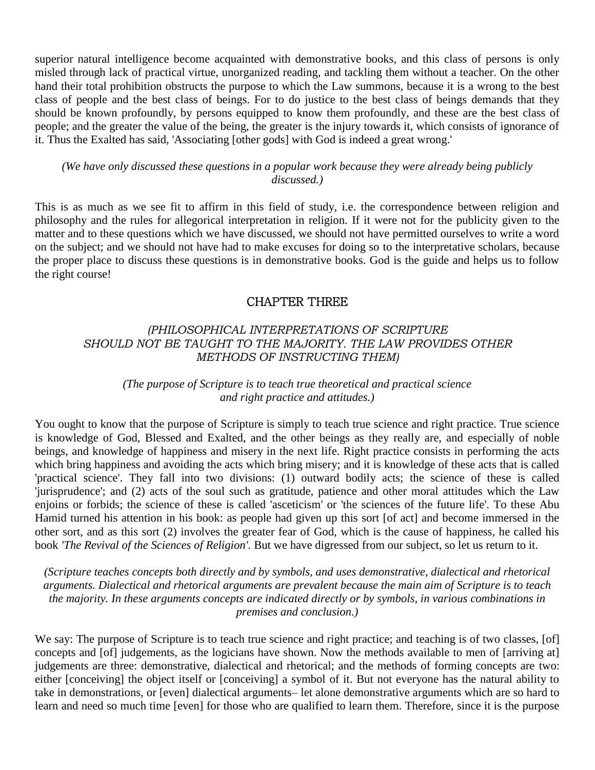superior natural intelligence become acquainted with demonstrative books, and this class of persons is only misled through lack of practical virtue, unorganized reading, and tackling them without a teacher. On the other hand their total prohibition obstructs the purpose to which the Law summons, because it is a wrong to the best class of people and the best class of beings. For to do justice to the best class of beings demands that they should be known profoundly, by persons equipped to know them profoundly, and these are the best class of people; and the greater the value of the being, the greater is the injury towards it, which consists of ignorance of it. Thus the Exalted has said, 'Associating [other gods] with God is indeed a great wrong.'

*(We have only discussed these questions in a popular work because they were already being publicly discussed.)*

This is as much as we see fit to affirm in this field of study, i.e. the correspondence between religion and philosophy and the rules for allegorical interpretation in religion. If it were not for the publicity given to the matter and to these questions which we have discussed, we should not have permitted ourselves to write a word on the subject; and we should not have had to make excuses for doing so to the interpretative scholars, because the proper place to discuss these questions is in demonstrative books. God is the guide and helps us to follow the right course!

# CHAPTER THREE

#### *(PHILOSOPHICAL INTERPRETATIONS OF SCRIPTURE SHOULD NOT BE TAUGHT TO THE MAJORITY. THE LAW PROVIDES OTHER METHODS OF INSTRUCTING THEM)*

#### *(The purpose of Scripture is to teach true theoretical and practical science and right practice and attitudes.)*

You ought to know that the purpose of Scripture is simply to teach true science and right practice. True science is knowledge of God, Blessed and Exalted, and the other beings as they really are, and especially of noble beings, and knowledge of happiness and misery in the next life. Right practice consists in performing the acts which bring happiness and avoiding the acts which bring misery; and it is knowledge of these acts that is called 'practical science'. They fall into two divisions: (1) outward bodily acts; the science of these is called 'jurisprudence'; and (2) acts of the soul such as gratitude, patience and other moral attitudes which the Law enjoins or forbids; the science of these is called 'asceticism' or 'the sciences of the future life'. To these Abu Hamid turned his attention in his book: as people had given up this sort [of act] and become immersed in the other sort, and as this sort (2) involves the greater fear of God, which is the cause of happiness, he called his book *'The Revival of the Sciences of Religion'.* But we have digressed from our subject, so let us return to it.

*(Scripture teaches concepts both directly and by symbols, and uses demonstrative, dialectical and rhetorical arguments. Dialectical and rhetorical arguments are prevalent because the main aim of Scripture is to teach the majority. In these arguments concepts are indicated directly or by symbols, in various combinations in premises and conclusion.)*

We say: The purpose of Scripture is to teach true science and right practice; and teaching is of two classes, [of] concepts and [of] judgements, as the logicians have shown. Now the methods available to men of [arriving at] judgements are three: demonstrative, dialectical and rhetorical; and the methods of forming concepts are two: either [conceiving] the object itself or [conceiving] a symbol of it. But not everyone has the natural ability to take in demonstrations, or [even] dialectical arguments– let alone demonstrative arguments which are so hard to learn and need so much time [even] for those who are qualified to learn them. Therefore, since it is the purpose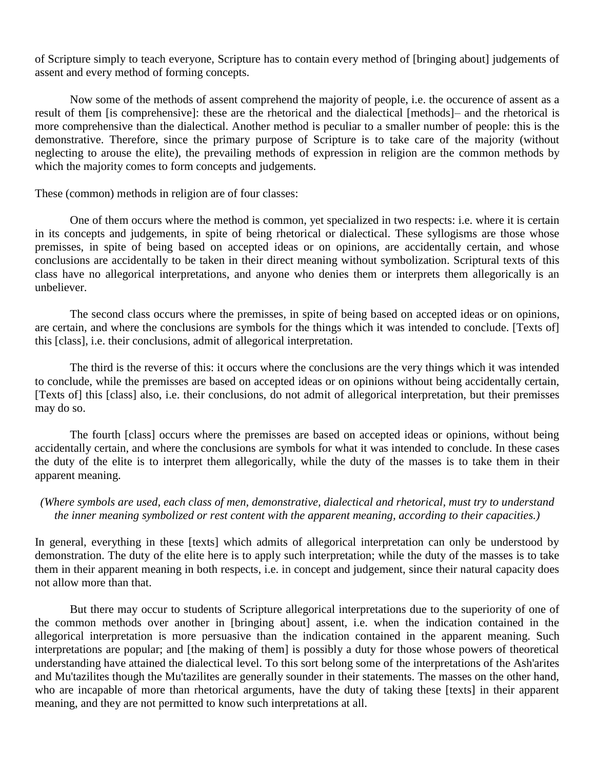of Scripture simply to teach everyone, Scripture has to contain every method of [bringing about] judgements of assent and every method of forming concepts.

Now some of the methods of assent comprehend the majority of people, i.e. the occurence of assent as a result of them [is comprehensive]: these are the rhetorical and the dialectical [methods]– and the rhetorical is more comprehensive than the dialectical. Another method is peculiar to a smaller number of people: this is the demonstrative. Therefore, since the primary purpose of Scripture is to take care of the majority (without neglecting to arouse the elite), the prevailing methods of expression in religion are the common methods by which the majority comes to form concepts and judgements.

These (common) methods in religion are of four classes:

One of them occurs where the method is common, yet specialized in two respects: i.e. where it is certain in its concepts and judgements, in spite of being rhetorical or dialectical. These syllogisms are those whose premisses, in spite of being based on accepted ideas or on opinions, are accidentally certain, and whose conclusions are accidentally to be taken in their direct meaning without symbolization. Scriptural texts of this class have no allegorical interpretations, and anyone who denies them or interprets them allegorically is an unbeliever.

The second class occurs where the premisses, in spite of being based on accepted ideas or on opinions, are certain, and where the conclusions are symbols for the things which it was intended to conclude. [Texts of] this [class], i.e. their conclusions, admit of allegorical interpretation.

The third is the reverse of this: it occurs where the conclusions are the very things which it was intended to conclude, while the premisses are based on accepted ideas or on opinions without being accidentally certain, [Texts of] this [class] also, i.e. their conclusions, do not admit of allegorical interpretation, but their premisses may do so.

The fourth [class] occurs where the premisses are based on accepted ideas or opinions, without being accidentally certain, and where the conclusions are symbols for what it was intended to conclude. In these cases the duty of the elite is to interpret them allegorically, while the duty of the masses is to take them in their apparent meaning.

#### *(Where symbols are used, each class of men, demonstrative, dialectical and rhetorical, must try to understand the inner meaning symbolized or rest content with the apparent meaning, according to their capacities.)*

In general, everything in these [texts] which admits of allegorical interpretation can only be understood by demonstration. The duty of the elite here is to apply such interpretation; while the duty of the masses is to take them in their apparent meaning in both respects, i.e. in concept and judgement, since their natural capacity does not allow more than that.

But there may occur to students of Scripture allegorical interpretations due to the superiority of one of the common methods over another in [bringing about] assent, i.e. when the indication contained in the allegorical interpretation is more persuasive than the indication contained in the apparent meaning. Such interpretations are popular; and [the making of them] is possibly a duty for those whose powers of theoretical understanding have attained the dialectical level. To this sort belong some of the interpretations of the Ash'arites and Mu'tazilites though the Mu'tazilites are generally sounder in their statements. The masses on the other hand, who are incapable of more than rhetorical arguments, have the duty of taking these [texts] in their apparent meaning, and they are not permitted to know such interpretations at all.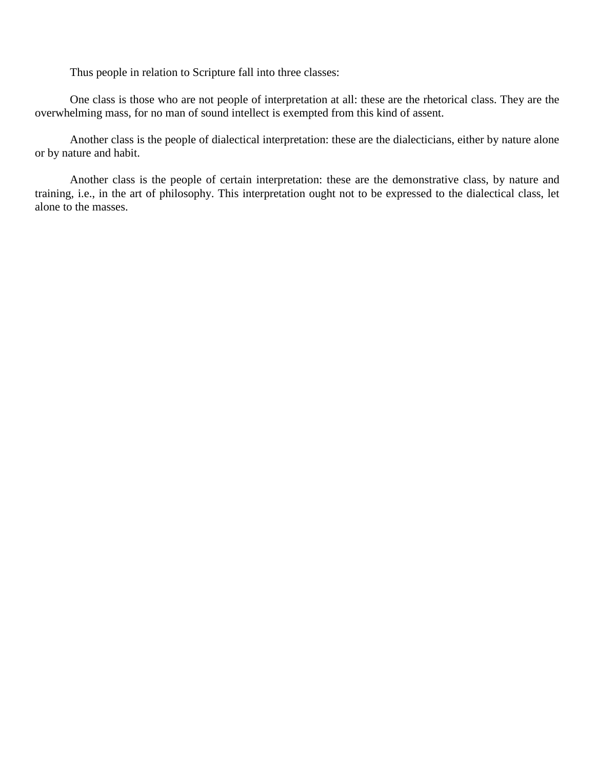Thus people in relation to Scripture fall into three classes:

One class is those who are not people of interpretation at all: these are the rhetorical class. They are the overwhelming mass, for no man of sound intellect is exempted from this kind of assent.

Another class is the people of dialectical interpretation: these are the dialecticians, either by nature alone or by nature and habit.

Another class is the people of certain interpretation: these are the demonstrative class, by nature and training, i.e., in the art of philosophy. This interpretation ought not to be expressed to the dialectical class, let alone to the masses.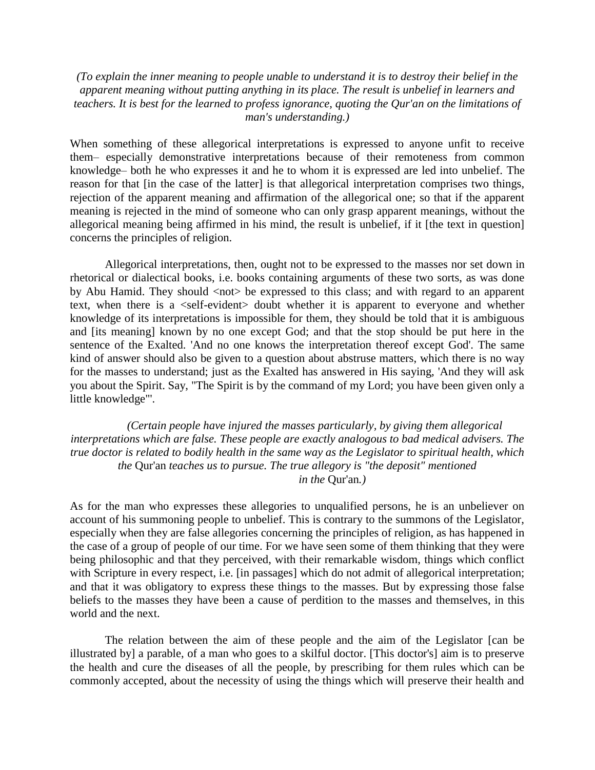*(To explain the inner meaning to people unable to understand it is to destroy their belief in the apparent meaning without putting anything in its place. The result is unbelief in learners and teachers. It is best for the learned to profess ignorance, quoting the Qur'an on the limitations of man's understanding.)*

When something of these allegorical interpretations is expressed to anyone unfit to receive them– especially demonstrative interpretations because of their remoteness from common knowledge– both he who expresses it and he to whom it is expressed are led into unbelief. The reason for that [in the case of the latter] is that allegorical interpretation comprises two things, rejection of the apparent meaning and affirmation of the allegorical one; so that if the apparent meaning is rejected in the mind of someone who can only grasp apparent meanings, without the allegorical meaning being affirmed in his mind, the result is unbelief, if it [the text in question] concerns the principles of religion.

Allegorical interpretations, then, ought not to be expressed to the masses nor set down in rhetorical or dialectical books, i.e. books containing arguments of these two sorts, as was done by Abu Hamid. They should <not> be expressed to this class; and with regard to an apparent text, when there is a <self-evident> doubt whether it is apparent to everyone and whether knowledge of its interpretations is impossible for them, they should be told that it is ambiguous and [its meaning] known by no one except God; and that the stop should be put here in the sentence of the Exalted. 'And no one knows the interpretation thereof except God'. The same kind of answer should also be given to a question about abstruse matters, which there is no way for the masses to understand; just as the Exalted has answered in His saying, 'And they will ask you about the Spirit. Say, "The Spirit is by the command of my Lord; you have been given only a little knowledge"'.

*(Certain people have injured the masses particularly, by giving them allegorical interpretations which are false. These people are exactly analogous to bad medical advisers. The true doctor is related to bodily health in the same way as the Legislator to spiritual health, which the* Qur'an *teaches us to pursue. The true allegory is "the deposit" mentioned in the* Qur'an*.)*

As for the man who expresses these allegories to unqualified persons, he is an unbeliever on account of his summoning people to unbelief. This is contrary to the summons of the Legislator, especially when they are false allegories concerning the principles of religion, as has happened in the case of a group of people of our time. For we have seen some of them thinking that they were being philosophic and that they perceived, with their remarkable wisdom, things which conflict with Scripture in every respect, i.e. [in passages] which do not admit of allegorical interpretation; and that it was obligatory to express these things to the masses. But by expressing those false beliefs to the masses they have been a cause of perdition to the masses and themselves, in this world and the next.

The relation between the aim of these people and the aim of the Legislator [can be illustrated by] a parable, of a man who goes to a skilful doctor. [This doctor's] aim is to preserve the health and cure the diseases of all the people, by prescribing for them rules which can be commonly accepted, about the necessity of using the things which will preserve their health and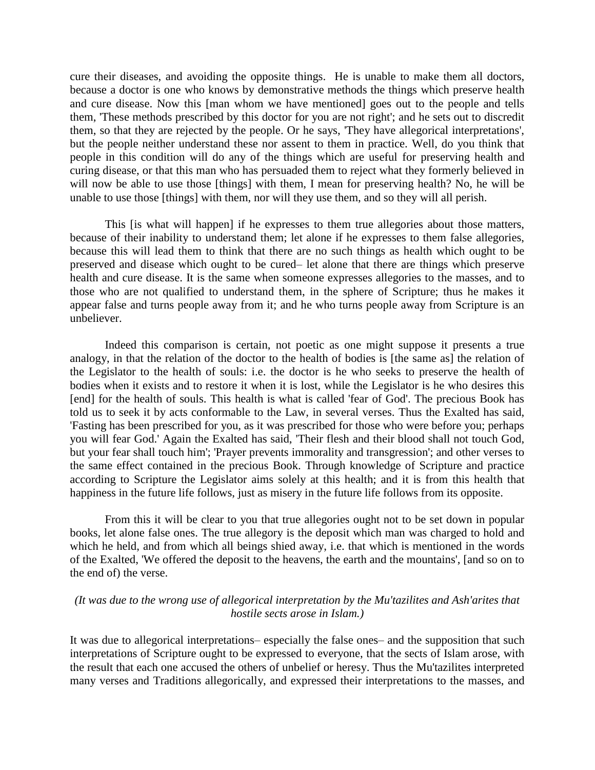cure their diseases, and avoiding the opposite things. He is unable to make them all doctors, because a doctor is one who knows by demonstrative methods the things which preserve health and cure disease. Now this [man whom we have mentioned] goes out to the people and tells them, 'These methods prescribed by this doctor for you are not right'; and he sets out to discredit them, so that they are rejected by the people. Or he says, 'They have allegorical interpretations', but the people neither understand these nor assent to them in practice. Well, do you think that people in this condition will do any of the things which are useful for preserving health and curing disease, or that this man who has persuaded them to reject what they formerly believed in will now be able to use those [things] with them, I mean for preserving health? No, he will be unable to use those [things] with them, nor will they use them, and so they will all perish.

This [is what will happen] if he expresses to them true allegories about those matters, because of their inability to understand them; let alone if he expresses to them false allegories, because this will lead them to think that there are no such things as health which ought to be preserved and disease which ought to be cured– let alone that there are things which preserve health and cure disease. It is the same when someone expresses allegories to the masses, and to those who are not qualified to understand them, in the sphere of Scripture; thus he makes it appear false and turns people away from it; and he who turns people away from Scripture is an unbeliever.

Indeed this comparison is certain, not poetic as one might suppose it presents a true analogy, in that the relation of the doctor to the health of bodies is [the same as] the relation of the Legislator to the health of souls: i.e. the doctor is he who seeks to preserve the health of bodies when it exists and to restore it when it is lost, while the Legislator is he who desires this [end] for the health of souls. This health is what is called 'fear of God'. The precious Book has told us to seek it by acts conformable to the Law, in several verses. Thus the Exalted has said, 'Fasting has been prescribed for you, as it was prescribed for those who were before you; perhaps you will fear God.' Again the Exalted has said, 'Their flesh and their blood shall not touch God, but your fear shall touch him'; 'Prayer prevents immorality and transgression'; and other verses to the same effect contained in the precious Book. Through knowledge of Scripture and practice according to Scripture the Legislator aims solely at this health; and it is from this health that happiness in the future life follows, just as misery in the future life follows from its opposite.

From this it will be clear to you that true allegories ought not to be set down in popular books, let alone false ones. The true allegory is the deposit which man was charged to hold and which he held, and from which all beings shied away, i.e. that which is mentioned in the words of the Exalted, 'We offered the deposit to the heavens, the earth and the mountains', [and so on to the end of) the verse.

#### *(It was due to the wrong use of allegorical interpretation by the Mu'tazilites and Ash'arites that hostile sects arose in Islam.)*

It was due to allegorical interpretations– especially the false ones– and the supposition that such interpretations of Scripture ought to be expressed to everyone, that the sects of Islam arose, with the result that each one accused the others of unbelief or heresy. Thus the Mu'tazilites interpreted many verses and Traditions allegorically, and expressed their interpretations to the masses, and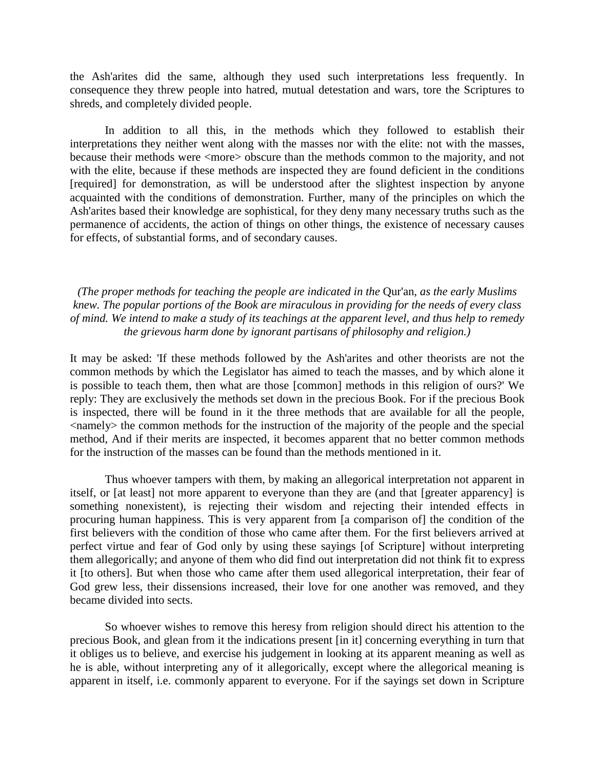the Ash'arites did the same, although they used such interpretations less frequently. In consequence they threw people into hatred, mutual detestation and wars, tore the Scriptures to shreds, and completely divided people.

In addition to all this, in the methods which they followed to establish their interpretations they neither went along with the masses nor with the elite: not with the masses, because their methods were  $\leq$  more $\geq$  obscure than the methods common to the majority, and not with the elite, because if these methods are inspected they are found deficient in the conditions [required] for demonstration, as will be understood after the slightest inspection by anyone acquainted with the conditions of demonstration. Further, many of the principles on which the Ash'arites based their knowledge are sophistical, for they deny many necessary truths such as the permanence of accidents, the action of things on other things, the existence of necessary causes for effects, of substantial forms, and of secondary causes.

*(The proper methods for teaching the people are indicated in the* Qur'an, *as the early Muslims knew. The popular portions of the Book are miraculous in providing for the needs of every class of mind. We intend to make a study of its teachings at the apparent level, and thus help to remedy the grievous harm done by ignorant partisans of philosophy and religion.)*

It may be asked: 'If these methods followed by the Ash'arites and other theorists are not the common methods by which the Legislator has aimed to teach the masses, and by which alone it is possible to teach them, then what are those [common] methods in this religion of ours?' We reply: They are exclusively the methods set down in the precious Book. For if the precious Book is inspected, there will be found in it the three methods that are available for all the people, <namely> the common methods for the instruction of the majority of the people and the special method, And if their merits are inspected, it becomes apparent that no better common methods for the instruction of the masses can be found than the methods mentioned in it.

Thus whoever tampers with them, by making an allegorical interpretation not apparent in itself, or [at least] not more apparent to everyone than they are (and that [greater apparency] is something nonexistent), is rejecting their wisdom and rejecting their intended effects in procuring human happiness. This is very apparent from [a comparison of] the condition of the first believers with the condition of those who came after them. For the first believers arrived at perfect virtue and fear of God only by using these sayings [of Scripture] without interpreting them allegorically; and anyone of them who did find out interpretation did not think fit to express it [to others]. But when those who came after them used allegorical interpretation, their fear of God grew less, their dissensions increased, their love for one another was removed, and they became divided into sects.

So whoever wishes to remove this heresy from religion should direct his attention to the precious Book, and glean from it the indications present [in it] concerning everything in turn that it obliges us to believe, and exercise his judgement in looking at its apparent meaning as well as he is able, without interpreting any of it allegorically, except where the allegorical meaning is apparent in itself, i.e. commonly apparent to everyone. For if the sayings set down in Scripture